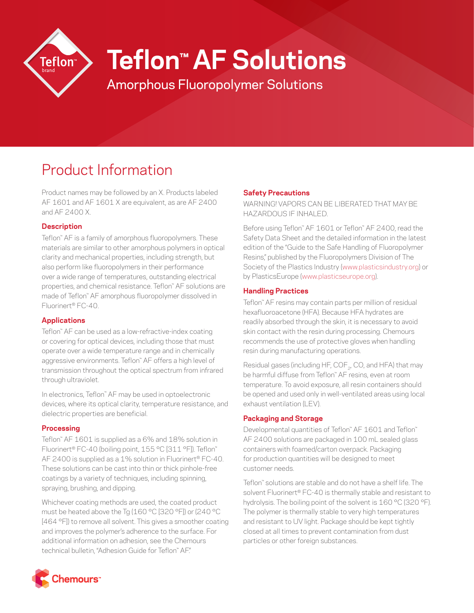

# **Teflon™ AF Solutions**

Amorphous Fluoropolymer Solutions

# Product Information

Product names may be followed by an X. Products labeled AF 1601 and AF 1601 X are equivalent, as are AF 2400 and AF 2400 X.

#### **Description**

Teflon™ AF is a family of amorphous fluoropolymers. These materials are similar to other amorphous polymers in optical clarity and mechanical properties, including strength, but also perform like fluoropolymers in their performance over a wide range of temperatures, outstanding electrical properties, and chemical resistance. Teflon™ AF solutions are made of Teflon™ AF amorphous fluoropolymer dissolved in Fluorinert® FC-40.

## **Applications**

Teflon™ AF can be used as a low-refractive-index coating or covering for optical devices, including those that must operate over a wide temperature range and in chemically aggressive environments. Teflon™ AF offers a high level of transmission throughout the optical spectrum from infrared through ultraviolet.

In electronics, Teflon™ AF may be used in optoelectronic devices, where its optical clarity, temperature resistance, and dielectric properties are beneficial.

## **Processing**

Teflon™ AF 1601 is supplied as a 6% and 18% solution in Fluorinert® FC-40 (boiling point, 155 °C [311 °F]). Teflon™ AF 2400 is supplied as a 1% solution in Fluorinert® FC-40. These solutions can be cast into thin or thick pinhole-free coatings by a variety of techniques, including spinning, spraying, brushing, and dipping.

Whichever coating methods are used, the coated product must be heated above the Tg (160 °C [320 °F]) or (240 °C [464 °F]) to remove all solvent. This gives a smoother coating and improves the polymer's adherence to the surface. For additional information on adhesion, see the Chemours technical bulletin, "Adhesion Guide for Teflon™ AF."

## **Safety Precautions**

WARNING! VAPORS CAN BE LIBERATED THAT MAY BE HAZARDOUS IF INHALED.

Before using Teflon™ AF 1601 or Teflon™ AF 2400, read the Safety Data Sheet and the detailed information in the latest edition of the "Guide to the Safe Handling of Fluoropolymer Resins," published by the Fluoropolymers Division of The Society of the Plastics Industry [\(www.plasticsindustry.org](http://www.plasticsindustry.org)) or by PlasticsEurope [\(www.plasticseurope.org\)](http://www.plasticseurope.org).

#### **Handling Practices**

Teflon™ AF resins may contain parts per million of residual hexafluoroacetone (HFA). Because HFA hydrates are readily absorbed through the skin, it is necessary to avoid skin contact with the resin during processing. Chemours recommends the use of protective gloves when handling resin during manufacturing operations.

Residual gases (including HF, COF<sub>2</sub>, CO, and HFA) that may be harmful diffuse from Teflon™ AF resins, even at room temperature. To avoid exposure, all resin containers should be opened and used only in well-ventilated areas using local exhaust ventilation (LEV).

#### **Packaging and Storage**

Developmental quantities of Teflon™ AF 1601 and Teflon™ AF 2400 solutions are packaged in 100 mL sealed glass containers with foamed/carton overpack. Packaging for production quantities will be designed to meet customer needs.

Teflon™ solutions are stable and do not have a shelf life. The solvent Fluorinert® FC-40 is thermally stable and resistant to hydrolysis. The boiling point of the solvent is 160 °C (320 °F). The polymer is thermally stable to very high temperatures and resistant to UV light. Package should be kept tightly closed at all times to prevent contamination from dust particles or other foreign substances.